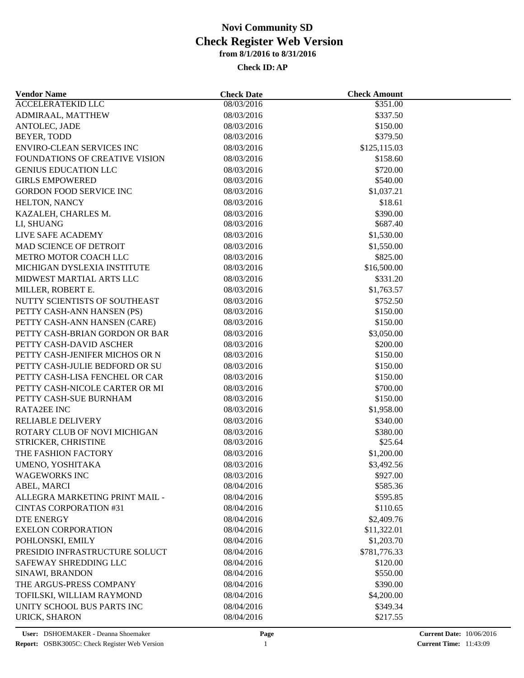| <b>Vendor Name</b>                                        | <b>Check Date</b>        | <b>Check Amount</b>  |
|-----------------------------------------------------------|--------------------------|----------------------|
| <b>ACCELERATEKID LLC</b>                                  | 08/03/2016               | \$351.00             |
| ADMIRAAL, MATTHEW                                         | 08/03/2016               | \$337.50             |
| ANTOLEC, JADE                                             | 08/03/2016               | \$150.00             |
| BEYER, TODD                                               | 08/03/2016               | \$379.50             |
| <b>ENVIRO-CLEAN SERVICES INC</b>                          | 08/03/2016               | \$125,115.03         |
| <b>FOUNDATIONS OF CREATIVE VISION</b>                     | 08/03/2016               | \$158.60             |
| <b>GENIUS EDUCATION LLC</b>                               | 08/03/2016               | \$720.00             |
| <b>GIRLS EMPOWERED</b>                                    | 08/03/2016               | \$540.00             |
| <b>GORDON FOOD SERVICE INC</b>                            | 08/03/2016               | \$1,037.21           |
| HELTON, NANCY                                             | 08/03/2016               | \$18.61              |
| KAZALEH, CHARLES M.                                       | 08/03/2016               | \$390.00             |
| LI, SHUANG                                                | 08/03/2016               | \$687.40             |
| LIVE SAFE ACADEMY                                         | 08/03/2016               | \$1,530.00           |
| MAD SCIENCE OF DETROIT                                    | 08/03/2016               | \$1,550.00           |
| METRO MOTOR COACH LLC                                     | 08/03/2016               | \$825.00             |
| MICHIGAN DYSLEXIA INSTITUTE                               | 08/03/2016               | \$16,500.00          |
| MIDWEST MARTIAL ARTS LLC                                  | 08/03/2016               | \$331.20             |
| MILLER, ROBERT E.                                         | 08/03/2016               | \$1,763.57           |
| NUTTY SCIENTISTS OF SOUTHEAST                             | 08/03/2016               | \$752.50             |
| PETTY CASH-ANN HANSEN (PS)                                | 08/03/2016               | \$150.00             |
| PETTY CASH-ANN HANSEN (CARE)                              | 08/03/2016               | \$150.00             |
| PETTY CASH-BRIAN GORDON OR BAR                            | 08/03/2016               | \$3,050.00           |
|                                                           |                          |                      |
| PETTY CASH-DAVID ASCHER<br>PETTY CASH-JENIFER MICHOS OR N | 08/03/2016<br>08/03/2016 | \$200.00<br>\$150.00 |
| PETTY CASH-JULIE BEDFORD OR SU                            |                          | \$150.00             |
|                                                           | 08/03/2016               |                      |
| PETTY CASH-LISA FENCHEL OR CAR                            | 08/03/2016               | \$150.00             |
| PETTY CASH-NICOLE CARTER OR MI                            | 08/03/2016               | \$700.00             |
| PETTY CASH-SUE BURNHAM                                    | 08/03/2016               | \$150.00             |
| <b>RATA2EE INC</b>                                        | 08/03/2016               | \$1,958.00           |
| <b>RELIABLE DELIVERY</b>                                  | 08/03/2016               | \$340.00             |
| ROTARY CLUB OF NOVI MICHIGAN                              | 08/03/2016               | \$380.00             |
| STRICKER, CHRISTINE                                       | 08/03/2016               | \$25.64              |
| THE FASHION FACTORY                                       | 08/03/2016               | \$1,200.00           |
| UMENO, YOSHITAKA                                          | 08/03/2016               | \$3,492.56           |
| <b>WAGEWORKS INC</b>                                      | 08/03/2016               | \$927.00             |
| ABEL, MARCI                                               | 08/04/2016               | \$585.36             |
| ALLEGRA MARKETING PRINT MAIL -                            | 08/04/2016               | \$595.85             |
| <b>CINTAS CORPORATION #31</b>                             | 08/04/2016               | \$110.65             |
| <b>DTE ENERGY</b>                                         | 08/04/2016               | \$2,409.76           |
| <b>EXELON CORPORATION</b>                                 | 08/04/2016               | \$11,322.01          |
| POHLONSKI, EMILY                                          | 08/04/2016               | \$1,203.70           |
| PRESIDIO INFRASTRUCTURE SOLUCT                            | 08/04/2016               | \$781,776.33         |
| SAFEWAY SHREDDING LLC                                     | 08/04/2016               | \$120.00             |
| SINAWI, BRANDON                                           | 08/04/2016               | \$550.00             |
| THE ARGUS-PRESS COMPANY                                   | 08/04/2016               | \$390.00             |
| TOFILSKI, WILLIAM RAYMOND                                 | 08/04/2016               | \$4,200.00           |
| UNITY SCHOOL BUS PARTS INC                                | 08/04/2016               | \$349.34             |
| URICK, SHARON                                             | 08/04/2016               | \$217.55             |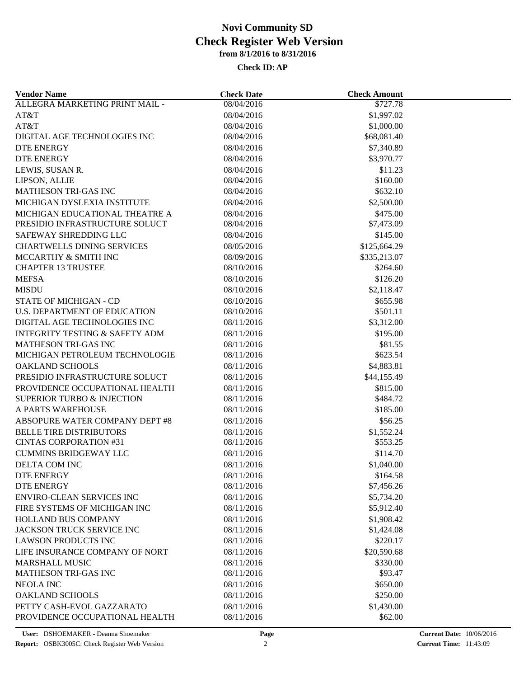| <b>Vendor Name</b>                                              | <b>Check Date</b>        | <b>Check Amount</b>    |  |
|-----------------------------------------------------------------|--------------------------|------------------------|--|
| ALLEGRA MARKETING PRINT MAIL -                                  | 08/04/2016               | \$727.78               |  |
| AT&T                                                            | 08/04/2016               | \$1,997.02             |  |
| AT&T                                                            | 08/04/2016               | \$1,000.00             |  |
| DIGITAL AGE TECHNOLOGIES INC                                    | 08/04/2016               | \$68,081.40            |  |
| DTE ENERGY                                                      | 08/04/2016               | \$7,340.89             |  |
| DTE ENERGY                                                      | 08/04/2016               | \$3,970.77             |  |
| LEWIS, SUSAN R.                                                 | 08/04/2016               | \$11.23                |  |
| LIPSON, ALLIE                                                   | 08/04/2016               | \$160.00               |  |
| MATHESON TRI-GAS INC                                            | 08/04/2016               | \$632.10               |  |
| MICHIGAN DYSLEXIA INSTITUTE                                     | 08/04/2016               | \$2,500.00             |  |
| MICHIGAN EDUCATIONAL THEATRE A                                  | 08/04/2016               | \$475.00               |  |
| PRESIDIO INFRASTRUCTURE SOLUCT                                  | 08/04/2016               | \$7,473.09             |  |
| SAFEWAY SHREDDING LLC                                           | 08/04/2016               | \$145.00               |  |
| <b>CHARTWELLS DINING SERVICES</b>                               | 08/05/2016               | \$125,664.29           |  |
| MCCARTHY & SMITH INC                                            | 08/09/2016               | \$335,213.07           |  |
| <b>CHAPTER 13 TRUSTEE</b>                                       | 08/10/2016               | \$264.60               |  |
| <b>MEFSA</b>                                                    | 08/10/2016               | \$126.20               |  |
| <b>MISDU</b>                                                    | 08/10/2016               | \$2,118.47             |  |
| STATE OF MICHIGAN - CD                                          | 08/10/2016               | \$655.98               |  |
| U.S. DEPARTMENT OF EDUCATION                                    | 08/10/2016               | \$501.11               |  |
| DIGITAL AGE TECHNOLOGIES INC                                    | 08/11/2016               | \$3,312.00             |  |
| <b>INTEGRITY TESTING &amp; SAFETY ADM</b>                       | 08/11/2016               | \$195.00               |  |
| <b>MATHESON TRI-GAS INC</b>                                     | 08/11/2016               | \$81.55                |  |
| MICHIGAN PETROLEUM TECHNOLOGIE                                  | 08/11/2016               | \$623.54               |  |
| <b>OAKLAND SCHOOLS</b>                                          | 08/11/2016               | \$4,883.81             |  |
| PRESIDIO INFRASTRUCTURE SOLUCT                                  | 08/11/2016               | \$44,155.49            |  |
| PROVIDENCE OCCUPATIONAL HEALTH                                  | 08/11/2016               | \$815.00               |  |
| <b>SUPERIOR TURBO &amp; INJECTION</b>                           | 08/11/2016               | \$484.72               |  |
| A PARTS WAREHOUSE                                               | 08/11/2016               | \$185.00               |  |
| ABSOPURE WATER COMPANY DEPT #8                                  |                          | \$56.25                |  |
|                                                                 | 08/11/2016               |                        |  |
| <b>BELLE TIRE DISTRIBUTORS</b><br><b>CINTAS CORPORATION #31</b> | 08/11/2016<br>08/11/2016 | \$1,552.24<br>\$553.25 |  |
| <b>CUMMINS BRIDGEWAY LLC</b>                                    |                          |                        |  |
|                                                                 | 08/11/2016               | \$114.70               |  |
| DELTA COM INC                                                   | 08/11/2016               | \$1,040.00             |  |
| <b>DTE ENERGY</b>                                               | 08/11/2016               | \$164.58               |  |
| <b>DTE ENERGY</b>                                               | 08/11/2016               | \$7,456.26             |  |
| <b>ENVIRO-CLEAN SERVICES INC</b>                                | 08/11/2016               | \$5,734.20             |  |
| FIRE SYSTEMS OF MICHIGAN INC                                    | 08/11/2016               | \$5,912.40             |  |
| HOLLAND BUS COMPANY                                             | 08/11/2016               | \$1,908.42             |  |
| JACKSON TRUCK SERVICE INC                                       | 08/11/2016               | \$1,424.08             |  |
| <b>LAWSON PRODUCTS INC</b>                                      | 08/11/2016               | \$220.17               |  |
| LIFE INSURANCE COMPANY OF NORT                                  | 08/11/2016               | \$20,590.68            |  |
| <b>MARSHALL MUSIC</b>                                           | 08/11/2016               | \$330.00               |  |
| <b>MATHESON TRI-GAS INC</b>                                     | 08/11/2016               | \$93.47                |  |
| NEOLA INC                                                       | 08/11/2016               | \$650.00               |  |
| <b>OAKLAND SCHOOLS</b>                                          | 08/11/2016               | \$250.00               |  |
| PETTY CASH-EVOL GAZZARATO                                       | 08/11/2016               | \$1,430.00             |  |
| PROVIDENCE OCCUPATIONAL HEALTH                                  | 08/11/2016               | \$62.00                |  |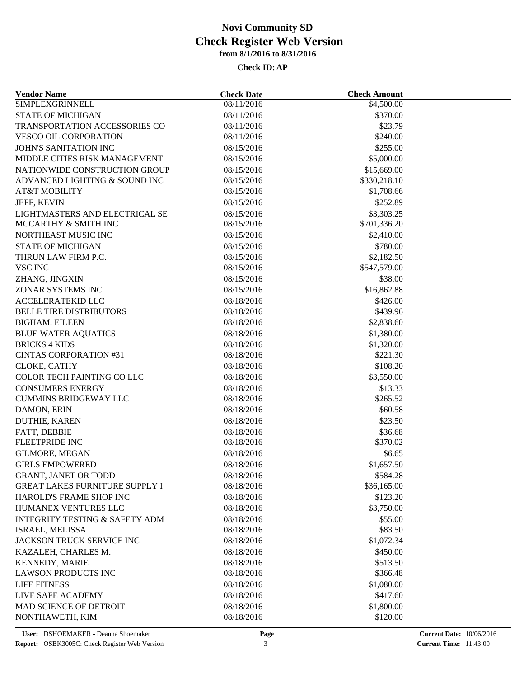| <b>Vendor Name</b>                           | <b>Check Date</b>        | <b>Check Amount</b>    |  |
|----------------------------------------------|--------------------------|------------------------|--|
| <b>SIMPLEXGRINNELL</b>                       | 08/11/2016               | $\overline{84,500.00}$ |  |
| <b>STATE OF MICHIGAN</b>                     | 08/11/2016               | \$370.00               |  |
| TRANSPORTATION ACCESSORIES CO                | 08/11/2016               | \$23.79                |  |
| <b>VESCO OIL CORPORATION</b>                 | 08/11/2016               | \$240.00               |  |
| JOHN'S SANITATION INC                        | 08/15/2016               | \$255.00               |  |
| MIDDLE CITIES RISK MANAGEMENT                | 08/15/2016               | \$5,000.00             |  |
| NATIONWIDE CONSTRUCTION GROUP                | 08/15/2016               | \$15,669.00            |  |
| ADVANCED LIGHTING & SOUND INC                | 08/15/2016               | \$330,218.10           |  |
| <b>AT&amp;T MOBILITY</b>                     | 08/15/2016               | \$1,708.66             |  |
| JEFF, KEVIN                                  | 08/15/2016               | \$252.89               |  |
| LIGHTMASTERS AND ELECTRICAL SE               | 08/15/2016               | \$3,303.25             |  |
| MCCARTHY & SMITH INC                         | 08/15/2016               | \$701,336.20           |  |
| NORTHEAST MUSIC INC                          | 08/15/2016               | \$2,410.00             |  |
| <b>STATE OF MICHIGAN</b>                     | 08/15/2016               | \$780.00               |  |
| THRUN LAW FIRM P.C.                          | 08/15/2016               | \$2,182.50             |  |
| <b>VSC INC</b>                               | 08/15/2016               | \$547,579.00           |  |
| ZHANG, JINGXIN                               | 08/15/2016               | \$38.00                |  |
| ZONAR SYSTEMS INC                            | 08/15/2016               | \$16,862.88            |  |
| <b>ACCELERATEKID LLC</b>                     | 08/18/2016               | \$426.00               |  |
| <b>BELLE TIRE DISTRIBUTORS</b>               | 08/18/2016               | \$439.96               |  |
| <b>BIGHAM, EILEEN</b>                        | 08/18/2016               | \$2,838.60             |  |
| <b>BLUE WATER AQUATICS</b>                   | 08/18/2016               | \$1,380.00             |  |
| <b>BRICKS 4 KIDS</b>                         | 08/18/2016               | \$1,320.00             |  |
| <b>CINTAS CORPORATION #31</b>                | 08/18/2016               | \$221.30               |  |
| CLOKE, CATHY                                 | 08/18/2016               | \$108.20               |  |
| <b>COLOR TECH PAINTING COLLC</b>             | 08/18/2016               | \$3,550.00             |  |
| <b>CONSUMERS ENERGY</b>                      | 08/18/2016               | \$13.33                |  |
| <b>CUMMINS BRIDGEWAY LLC</b>                 | 08/18/2016               | \$265.52               |  |
| DAMON, ERIN                                  | 08/18/2016               | \$60.58                |  |
| DUTHIE, KAREN                                | 08/18/2016               | \$23.50                |  |
| FATT, DEBBIE                                 | 08/18/2016               | \$36.68                |  |
| FLEETPRIDE INC                               | 08/18/2016               | \$370.02               |  |
| GILMORE, MEGAN                               | 08/18/2016               | \$6.65                 |  |
| <b>GIRLS EMPOWERED</b>                       | 08/18/2016               | \$1,657.50             |  |
| <b>GRANT, JANET OR TODD</b>                  | 08/18/2016               | \$584.28               |  |
| <b>GREAT LAKES FURNITURE SUPPLY I</b>        | 08/18/2016               | \$36,165.00            |  |
| HAROLD'S FRAME SHOP INC                      | 08/18/2016               | \$123.20               |  |
| HUMANEX VENTURES LLC                         | 08/18/2016               | \$3,750.00             |  |
| <b>INTEGRITY TESTING &amp; SAFETY ADM</b>    | 08/18/2016               | \$55.00                |  |
| ISRAEL, MELISSA                              | 08/18/2016               | \$83.50                |  |
| JACKSON TRUCK SERVICE INC                    | 08/18/2016               | \$1,072.34             |  |
| KAZALEH, CHARLES M.                          | 08/18/2016               | \$450.00               |  |
|                                              |                          |                        |  |
| KENNEDY, MARIE<br><b>LAWSON PRODUCTS INC</b> | 08/18/2016<br>08/18/2016 | \$513.50               |  |
|                                              |                          | \$366.48               |  |
| <b>LIFE FITNESS</b>                          | 08/18/2016               | \$1,080.00             |  |
| LIVE SAFE ACADEMY                            | 08/18/2016               | \$417.60               |  |
| MAD SCIENCE OF DETROIT                       | 08/18/2016               | \$1,800.00             |  |
| NONTHAWETH, KIM                              | 08/18/2016               | \$120.00               |  |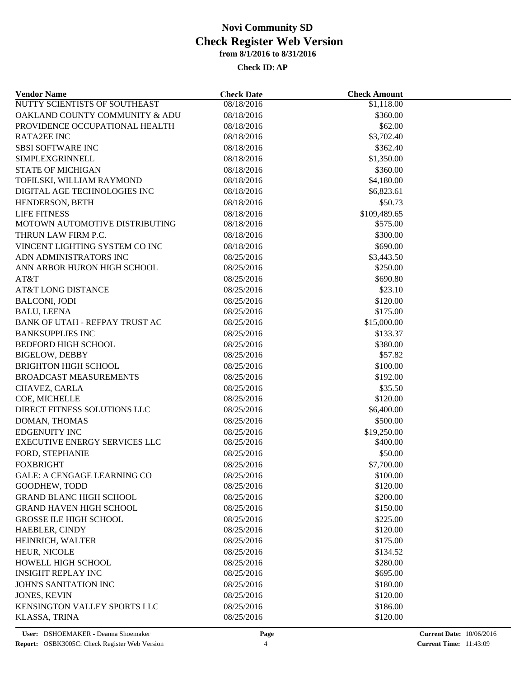| <b>Vendor Name</b>                 | <b>Check Date</b> | <b>Check Amount</b> |  |
|------------------------------------|-------------------|---------------------|--|
| NUTTY SCIENTISTS OF SOUTHEAST      | 08/18/2016        | \$1,118.00          |  |
| OAKLAND COUNTY COMMUNITY & ADU     | 08/18/2016        | \$360.00            |  |
| PROVIDENCE OCCUPATIONAL HEALTH     | 08/18/2016        | \$62.00             |  |
| <b>RATA2EE INC</b>                 | 08/18/2016        | \$3,702.40          |  |
| <b>SBSI SOFTWARE INC</b>           | 08/18/2016        | \$362.40            |  |
| SIMPLEXGRINNELL                    | 08/18/2016        | \$1,350.00          |  |
| <b>STATE OF MICHIGAN</b>           | 08/18/2016        | \$360.00            |  |
| TOFILSKI, WILLIAM RAYMOND          | 08/18/2016        | \$4,180.00          |  |
| DIGITAL AGE TECHNOLOGIES INC       | 08/18/2016        | \$6,823.61          |  |
| HENDERSON, BETH                    | 08/18/2016        | \$50.73             |  |
| <b>LIFE FITNESS</b>                | 08/18/2016        | \$109,489.65        |  |
| MOTOWN AUTOMOTIVE DISTRIBUTING     | 08/18/2016        | \$575.00            |  |
| THRUN LAW FIRM P.C.                | 08/18/2016        | \$300.00            |  |
| VINCENT LIGHTING SYSTEM CO INC     | 08/18/2016        | \$690.00            |  |
| ADN ADMINISTRATORS INC             | 08/25/2016        | \$3,443.50          |  |
| ANN ARBOR HURON HIGH SCHOOL        | 08/25/2016        | \$250.00            |  |
| AT&T                               | 08/25/2016        | \$690.80            |  |
| <b>AT&amp;T LONG DISTANCE</b>      | 08/25/2016        | \$23.10             |  |
| <b>BALCONI, JODI</b>               | 08/25/2016        | \$120.00            |  |
| <b>BALU, LEENA</b>                 | 08/25/2016        | \$175.00            |  |
| BANK OF UTAH - REFPAY TRUST AC     | 08/25/2016        | \$15,000.00         |  |
| <b>BANKSUPPLIES INC</b>            | 08/25/2016        | \$133.37            |  |
| <b>BEDFORD HIGH SCHOOL</b>         | 08/25/2016        | \$380.00            |  |
| <b>BIGELOW, DEBBY</b>              | 08/25/2016        | \$57.82             |  |
| <b>BRIGHTON HIGH SCHOOL</b>        | 08/25/2016        | \$100.00            |  |
| <b>BROADCAST MEASUREMENTS</b>      |                   | \$192.00            |  |
|                                    | 08/25/2016        |                     |  |
| CHAVEZ, CARLA                      | 08/25/2016        | \$35.50             |  |
| COE, MICHELLE                      | 08/25/2016        | \$120.00            |  |
| DIRECT FITNESS SOLUTIONS LLC       | 08/25/2016        | \$6,400.00          |  |
| DOMAN, THOMAS                      | 08/25/2016        | \$500.00            |  |
| <b>EDGENUITY INC</b>               | 08/25/2016        | \$19,250.00         |  |
| EXECUTIVE ENERGY SERVICES LLC      | 08/25/2016        | \$400.00            |  |
| FORD, STEPHANIE                    | 08/25/2016        | \$50.00             |  |
| <b>FOXBRIGHT</b>                   | 08/25/2016        | \$7,700.00          |  |
| <b>GALE: A CENGAGE LEARNING CO</b> | 08/25/2016        | \$100.00            |  |
| GOODHEW, TODD                      | 08/25/2016        | \$120.00            |  |
| <b>GRAND BLANC HIGH SCHOOL</b>     | 08/25/2016        | \$200.00            |  |
| <b>GRAND HAVEN HIGH SCHOOL</b>     | 08/25/2016        | \$150.00            |  |
| <b>GROSSE ILE HIGH SCHOOL</b>      | 08/25/2016        | \$225.00            |  |
| HAEBLER, CINDY                     | 08/25/2016        | \$120.00            |  |
| HEINRICH, WALTER                   | 08/25/2016        | \$175.00            |  |
| HEUR, NICOLE                       | 08/25/2016        | \$134.52            |  |
| HOWELL HIGH SCHOOL                 | 08/25/2016        | \$280.00            |  |
| <b>INSIGHT REPLAY INC</b>          | 08/25/2016        | \$695.00            |  |
| JOHN'S SANITATION INC              | 08/25/2016        | \$180.00            |  |
| <b>JONES, KEVIN</b>                | 08/25/2016        | \$120.00            |  |
| KENSINGTON VALLEY SPORTS LLC       | 08/25/2016        | \$186.00            |  |
| KLASSA, TRINA                      | 08/25/2016        | \$120.00            |  |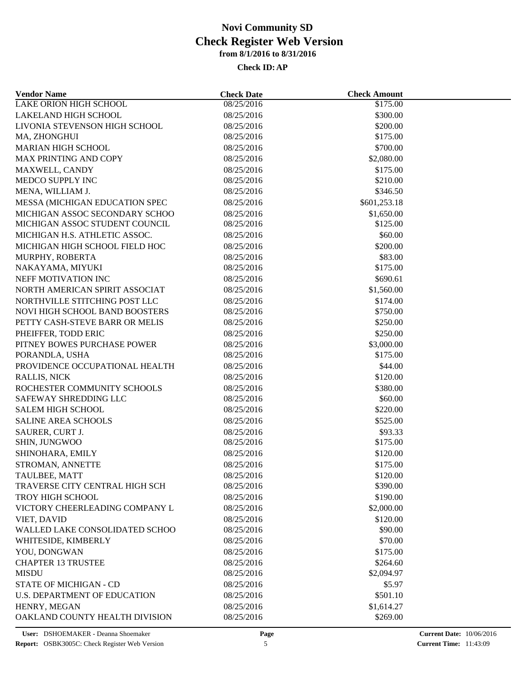| <b>LAKE ORION HIGH SCHOOL</b><br>08/25/2016<br>\$175.00<br>LAKELAND HIGH SCHOOL<br>\$300.00<br>08/25/2016<br>LIVONIA STEVENSON HIGH SCHOOL<br>08/25/2016<br>\$200.00<br>08/25/2016<br>MA, ZHONGHUI<br>\$175.00<br>\$700.00<br><b>MARIAN HIGH SCHOOL</b><br>08/25/2016<br><b>MAX PRINTING AND COPY</b><br>08/25/2016<br>\$2,080.00<br>MAXWELL, CANDY<br>08/25/2016<br>\$175.00<br>MEDCO SUPPLY INC<br>08/25/2016<br>\$210.00<br>MENA, WILLIAM J.<br>08/25/2016<br>\$346.50<br>\$601,253.18<br>MESSA (MICHIGAN EDUCATION SPEC<br>08/25/2016<br>MICHIGAN ASSOC SECONDARY SCHOO<br>08/25/2016<br>\$1,650.00<br>MICHIGAN ASSOC STUDENT COUNCIL<br>08/25/2016<br>\$125.00<br>MICHIGAN H.S. ATHLETIC ASSOC.<br>08/25/2016<br>\$60.00<br>MICHIGAN HIGH SCHOOL FIELD HOC<br>08/25/2016<br>\$200.00<br>08/25/2016<br>\$83.00<br>MURPHY, ROBERTA<br>\$175.00<br>NAKAYAMA, MIYUKI<br>08/25/2016<br>NEFF MOTIVATION INC<br>\$690.61<br>08/25/2016<br>NORTH AMERICAN SPIRIT ASSOCIAT<br>08/25/2016<br>\$1,560.00<br>NORTHVILLE STITCHING POST LLC<br>08/25/2016<br>\$174.00<br>\$750.00<br>NOVI HIGH SCHOOL BAND BOOSTERS<br>08/25/2016<br>PETTY CASH-STEVE BARR OR MELIS<br>08/25/2016<br>\$250.00<br>PHEIFFER, TODD ERIC<br>\$250.00<br>08/25/2016<br>PITNEY BOWES PURCHASE POWER<br>08/25/2016<br>\$3,000.00<br>\$175.00<br>PORANDLA, USHA<br>08/25/2016<br>PROVIDENCE OCCUPATIONAL HEALTH<br>08/25/2016<br>\$44.00<br>\$120.00<br><b>RALLIS, NICK</b><br>08/25/2016<br>ROCHESTER COMMUNITY SCHOOLS<br>08/25/2016<br>\$380.00<br>SAFEWAY SHREDDING LLC<br>08/25/2016<br>\$60.00<br><b>SALEM HIGH SCHOOL</b><br>08/25/2016<br>\$220.00<br><b>SALINE AREA SCHOOLS</b><br>08/25/2016<br>\$525.00<br>SAURER, CURT J.<br>08/25/2016<br>\$93.33<br>SHIN, JUNGWOO<br>\$175.00<br>08/25/2016<br>SHINOHARA, EMILY<br>08/25/2016<br>\$120.00<br>STROMAN, ANNETTE<br>\$175.00<br>08/25/2016<br>\$120.00<br>TAULBEE, MATT<br>08/25/2016<br>TRAVERSE CITY CENTRAL HIGH SCH<br>08/25/2016<br>\$390.00<br>TROY HIGH SCHOOL<br>08/25/2016<br>\$190.00<br>VICTORY CHEERLEADING COMPANY L<br>08/25/2016<br>\$2,000.00<br>VIET, DAVID<br>08/25/2016<br>\$120.00<br>WALLED LAKE CONSOLIDATED SCHOO<br>\$90.00<br>08/25/2016<br>WHITESIDE, KIMBERLY<br>\$70.00<br>08/25/2016<br>YOU, DONGWAN<br>08/25/2016<br>\$175.00<br><b>CHAPTER 13 TRUSTEE</b><br>08/25/2016<br>\$264.60<br><b>MISDU</b><br>08/25/2016<br>\$2,094.97<br><b>STATE OF MICHIGAN - CD</b><br>08/25/2016<br>\$5.97<br><b>U.S. DEPARTMENT OF EDUCATION</b><br>08/25/2016<br>\$501.10<br>08/25/2016<br>\$1,614.27<br>HENRY, MEGAN<br>OAKLAND COUNTY HEALTH DIVISION<br>08/25/2016<br>\$269.00 | <b>Vendor Name</b> | <b>Check Date</b> | <b>Check Amount</b> |  |
|-----------------------------------------------------------------------------------------------------------------------------------------------------------------------------------------------------------------------------------------------------------------------------------------------------------------------------------------------------------------------------------------------------------------------------------------------------------------------------------------------------------------------------------------------------------------------------------------------------------------------------------------------------------------------------------------------------------------------------------------------------------------------------------------------------------------------------------------------------------------------------------------------------------------------------------------------------------------------------------------------------------------------------------------------------------------------------------------------------------------------------------------------------------------------------------------------------------------------------------------------------------------------------------------------------------------------------------------------------------------------------------------------------------------------------------------------------------------------------------------------------------------------------------------------------------------------------------------------------------------------------------------------------------------------------------------------------------------------------------------------------------------------------------------------------------------------------------------------------------------------------------------------------------------------------------------------------------------------------------------------------------------------------------------------------------------------------------------------------------------------------------------------------------------------------------------------------------------------------------------------------------------------------------------------------------------------------------------------------------------------------------------------------------------------------------------------------------------------------------------------------------------------------------------------------------------------------------------------------------------------------|--------------------|-------------------|---------------------|--|
|                                                                                                                                                                                                                                                                                                                                                                                                                                                                                                                                                                                                                                                                                                                                                                                                                                                                                                                                                                                                                                                                                                                                                                                                                                                                                                                                                                                                                                                                                                                                                                                                                                                                                                                                                                                                                                                                                                                                                                                                                                                                                                                                                                                                                                                                                                                                                                                                                                                                                                                                                                                                                             |                    |                   |                     |  |
|                                                                                                                                                                                                                                                                                                                                                                                                                                                                                                                                                                                                                                                                                                                                                                                                                                                                                                                                                                                                                                                                                                                                                                                                                                                                                                                                                                                                                                                                                                                                                                                                                                                                                                                                                                                                                                                                                                                                                                                                                                                                                                                                                                                                                                                                                                                                                                                                                                                                                                                                                                                                                             |                    |                   |                     |  |
|                                                                                                                                                                                                                                                                                                                                                                                                                                                                                                                                                                                                                                                                                                                                                                                                                                                                                                                                                                                                                                                                                                                                                                                                                                                                                                                                                                                                                                                                                                                                                                                                                                                                                                                                                                                                                                                                                                                                                                                                                                                                                                                                                                                                                                                                                                                                                                                                                                                                                                                                                                                                                             |                    |                   |                     |  |
|                                                                                                                                                                                                                                                                                                                                                                                                                                                                                                                                                                                                                                                                                                                                                                                                                                                                                                                                                                                                                                                                                                                                                                                                                                                                                                                                                                                                                                                                                                                                                                                                                                                                                                                                                                                                                                                                                                                                                                                                                                                                                                                                                                                                                                                                                                                                                                                                                                                                                                                                                                                                                             |                    |                   |                     |  |
|                                                                                                                                                                                                                                                                                                                                                                                                                                                                                                                                                                                                                                                                                                                                                                                                                                                                                                                                                                                                                                                                                                                                                                                                                                                                                                                                                                                                                                                                                                                                                                                                                                                                                                                                                                                                                                                                                                                                                                                                                                                                                                                                                                                                                                                                                                                                                                                                                                                                                                                                                                                                                             |                    |                   |                     |  |
|                                                                                                                                                                                                                                                                                                                                                                                                                                                                                                                                                                                                                                                                                                                                                                                                                                                                                                                                                                                                                                                                                                                                                                                                                                                                                                                                                                                                                                                                                                                                                                                                                                                                                                                                                                                                                                                                                                                                                                                                                                                                                                                                                                                                                                                                                                                                                                                                                                                                                                                                                                                                                             |                    |                   |                     |  |
|                                                                                                                                                                                                                                                                                                                                                                                                                                                                                                                                                                                                                                                                                                                                                                                                                                                                                                                                                                                                                                                                                                                                                                                                                                                                                                                                                                                                                                                                                                                                                                                                                                                                                                                                                                                                                                                                                                                                                                                                                                                                                                                                                                                                                                                                                                                                                                                                                                                                                                                                                                                                                             |                    |                   |                     |  |
|                                                                                                                                                                                                                                                                                                                                                                                                                                                                                                                                                                                                                                                                                                                                                                                                                                                                                                                                                                                                                                                                                                                                                                                                                                                                                                                                                                                                                                                                                                                                                                                                                                                                                                                                                                                                                                                                                                                                                                                                                                                                                                                                                                                                                                                                                                                                                                                                                                                                                                                                                                                                                             |                    |                   |                     |  |
|                                                                                                                                                                                                                                                                                                                                                                                                                                                                                                                                                                                                                                                                                                                                                                                                                                                                                                                                                                                                                                                                                                                                                                                                                                                                                                                                                                                                                                                                                                                                                                                                                                                                                                                                                                                                                                                                                                                                                                                                                                                                                                                                                                                                                                                                                                                                                                                                                                                                                                                                                                                                                             |                    |                   |                     |  |
|                                                                                                                                                                                                                                                                                                                                                                                                                                                                                                                                                                                                                                                                                                                                                                                                                                                                                                                                                                                                                                                                                                                                                                                                                                                                                                                                                                                                                                                                                                                                                                                                                                                                                                                                                                                                                                                                                                                                                                                                                                                                                                                                                                                                                                                                                                                                                                                                                                                                                                                                                                                                                             |                    |                   |                     |  |
|                                                                                                                                                                                                                                                                                                                                                                                                                                                                                                                                                                                                                                                                                                                                                                                                                                                                                                                                                                                                                                                                                                                                                                                                                                                                                                                                                                                                                                                                                                                                                                                                                                                                                                                                                                                                                                                                                                                                                                                                                                                                                                                                                                                                                                                                                                                                                                                                                                                                                                                                                                                                                             |                    |                   |                     |  |
|                                                                                                                                                                                                                                                                                                                                                                                                                                                                                                                                                                                                                                                                                                                                                                                                                                                                                                                                                                                                                                                                                                                                                                                                                                                                                                                                                                                                                                                                                                                                                                                                                                                                                                                                                                                                                                                                                                                                                                                                                                                                                                                                                                                                                                                                                                                                                                                                                                                                                                                                                                                                                             |                    |                   |                     |  |
|                                                                                                                                                                                                                                                                                                                                                                                                                                                                                                                                                                                                                                                                                                                                                                                                                                                                                                                                                                                                                                                                                                                                                                                                                                                                                                                                                                                                                                                                                                                                                                                                                                                                                                                                                                                                                                                                                                                                                                                                                                                                                                                                                                                                                                                                                                                                                                                                                                                                                                                                                                                                                             |                    |                   |                     |  |
|                                                                                                                                                                                                                                                                                                                                                                                                                                                                                                                                                                                                                                                                                                                                                                                                                                                                                                                                                                                                                                                                                                                                                                                                                                                                                                                                                                                                                                                                                                                                                                                                                                                                                                                                                                                                                                                                                                                                                                                                                                                                                                                                                                                                                                                                                                                                                                                                                                                                                                                                                                                                                             |                    |                   |                     |  |
|                                                                                                                                                                                                                                                                                                                                                                                                                                                                                                                                                                                                                                                                                                                                                                                                                                                                                                                                                                                                                                                                                                                                                                                                                                                                                                                                                                                                                                                                                                                                                                                                                                                                                                                                                                                                                                                                                                                                                                                                                                                                                                                                                                                                                                                                                                                                                                                                                                                                                                                                                                                                                             |                    |                   |                     |  |
|                                                                                                                                                                                                                                                                                                                                                                                                                                                                                                                                                                                                                                                                                                                                                                                                                                                                                                                                                                                                                                                                                                                                                                                                                                                                                                                                                                                                                                                                                                                                                                                                                                                                                                                                                                                                                                                                                                                                                                                                                                                                                                                                                                                                                                                                                                                                                                                                                                                                                                                                                                                                                             |                    |                   |                     |  |
|                                                                                                                                                                                                                                                                                                                                                                                                                                                                                                                                                                                                                                                                                                                                                                                                                                                                                                                                                                                                                                                                                                                                                                                                                                                                                                                                                                                                                                                                                                                                                                                                                                                                                                                                                                                                                                                                                                                                                                                                                                                                                                                                                                                                                                                                                                                                                                                                                                                                                                                                                                                                                             |                    |                   |                     |  |
|                                                                                                                                                                                                                                                                                                                                                                                                                                                                                                                                                                                                                                                                                                                                                                                                                                                                                                                                                                                                                                                                                                                                                                                                                                                                                                                                                                                                                                                                                                                                                                                                                                                                                                                                                                                                                                                                                                                                                                                                                                                                                                                                                                                                                                                                                                                                                                                                                                                                                                                                                                                                                             |                    |                   |                     |  |
|                                                                                                                                                                                                                                                                                                                                                                                                                                                                                                                                                                                                                                                                                                                                                                                                                                                                                                                                                                                                                                                                                                                                                                                                                                                                                                                                                                                                                                                                                                                                                                                                                                                                                                                                                                                                                                                                                                                                                                                                                                                                                                                                                                                                                                                                                                                                                                                                                                                                                                                                                                                                                             |                    |                   |                     |  |
|                                                                                                                                                                                                                                                                                                                                                                                                                                                                                                                                                                                                                                                                                                                                                                                                                                                                                                                                                                                                                                                                                                                                                                                                                                                                                                                                                                                                                                                                                                                                                                                                                                                                                                                                                                                                                                                                                                                                                                                                                                                                                                                                                                                                                                                                                                                                                                                                                                                                                                                                                                                                                             |                    |                   |                     |  |
|                                                                                                                                                                                                                                                                                                                                                                                                                                                                                                                                                                                                                                                                                                                                                                                                                                                                                                                                                                                                                                                                                                                                                                                                                                                                                                                                                                                                                                                                                                                                                                                                                                                                                                                                                                                                                                                                                                                                                                                                                                                                                                                                                                                                                                                                                                                                                                                                                                                                                                                                                                                                                             |                    |                   |                     |  |
|                                                                                                                                                                                                                                                                                                                                                                                                                                                                                                                                                                                                                                                                                                                                                                                                                                                                                                                                                                                                                                                                                                                                                                                                                                                                                                                                                                                                                                                                                                                                                                                                                                                                                                                                                                                                                                                                                                                                                                                                                                                                                                                                                                                                                                                                                                                                                                                                                                                                                                                                                                                                                             |                    |                   |                     |  |
|                                                                                                                                                                                                                                                                                                                                                                                                                                                                                                                                                                                                                                                                                                                                                                                                                                                                                                                                                                                                                                                                                                                                                                                                                                                                                                                                                                                                                                                                                                                                                                                                                                                                                                                                                                                                                                                                                                                                                                                                                                                                                                                                                                                                                                                                                                                                                                                                                                                                                                                                                                                                                             |                    |                   |                     |  |
|                                                                                                                                                                                                                                                                                                                                                                                                                                                                                                                                                                                                                                                                                                                                                                                                                                                                                                                                                                                                                                                                                                                                                                                                                                                                                                                                                                                                                                                                                                                                                                                                                                                                                                                                                                                                                                                                                                                                                                                                                                                                                                                                                                                                                                                                                                                                                                                                                                                                                                                                                                                                                             |                    |                   |                     |  |
|                                                                                                                                                                                                                                                                                                                                                                                                                                                                                                                                                                                                                                                                                                                                                                                                                                                                                                                                                                                                                                                                                                                                                                                                                                                                                                                                                                                                                                                                                                                                                                                                                                                                                                                                                                                                                                                                                                                                                                                                                                                                                                                                                                                                                                                                                                                                                                                                                                                                                                                                                                                                                             |                    |                   |                     |  |
|                                                                                                                                                                                                                                                                                                                                                                                                                                                                                                                                                                                                                                                                                                                                                                                                                                                                                                                                                                                                                                                                                                                                                                                                                                                                                                                                                                                                                                                                                                                                                                                                                                                                                                                                                                                                                                                                                                                                                                                                                                                                                                                                                                                                                                                                                                                                                                                                                                                                                                                                                                                                                             |                    |                   |                     |  |
|                                                                                                                                                                                                                                                                                                                                                                                                                                                                                                                                                                                                                                                                                                                                                                                                                                                                                                                                                                                                                                                                                                                                                                                                                                                                                                                                                                                                                                                                                                                                                                                                                                                                                                                                                                                                                                                                                                                                                                                                                                                                                                                                                                                                                                                                                                                                                                                                                                                                                                                                                                                                                             |                    |                   |                     |  |
|                                                                                                                                                                                                                                                                                                                                                                                                                                                                                                                                                                                                                                                                                                                                                                                                                                                                                                                                                                                                                                                                                                                                                                                                                                                                                                                                                                                                                                                                                                                                                                                                                                                                                                                                                                                                                                                                                                                                                                                                                                                                                                                                                                                                                                                                                                                                                                                                                                                                                                                                                                                                                             |                    |                   |                     |  |
|                                                                                                                                                                                                                                                                                                                                                                                                                                                                                                                                                                                                                                                                                                                                                                                                                                                                                                                                                                                                                                                                                                                                                                                                                                                                                                                                                                                                                                                                                                                                                                                                                                                                                                                                                                                                                                                                                                                                                                                                                                                                                                                                                                                                                                                                                                                                                                                                                                                                                                                                                                                                                             |                    |                   |                     |  |
|                                                                                                                                                                                                                                                                                                                                                                                                                                                                                                                                                                                                                                                                                                                                                                                                                                                                                                                                                                                                                                                                                                                                                                                                                                                                                                                                                                                                                                                                                                                                                                                                                                                                                                                                                                                                                                                                                                                                                                                                                                                                                                                                                                                                                                                                                                                                                                                                                                                                                                                                                                                                                             |                    |                   |                     |  |
|                                                                                                                                                                                                                                                                                                                                                                                                                                                                                                                                                                                                                                                                                                                                                                                                                                                                                                                                                                                                                                                                                                                                                                                                                                                                                                                                                                                                                                                                                                                                                                                                                                                                                                                                                                                                                                                                                                                                                                                                                                                                                                                                                                                                                                                                                                                                                                                                                                                                                                                                                                                                                             |                    |                   |                     |  |
|                                                                                                                                                                                                                                                                                                                                                                                                                                                                                                                                                                                                                                                                                                                                                                                                                                                                                                                                                                                                                                                                                                                                                                                                                                                                                                                                                                                                                                                                                                                                                                                                                                                                                                                                                                                                                                                                                                                                                                                                                                                                                                                                                                                                                                                                                                                                                                                                                                                                                                                                                                                                                             |                    |                   |                     |  |
|                                                                                                                                                                                                                                                                                                                                                                                                                                                                                                                                                                                                                                                                                                                                                                                                                                                                                                                                                                                                                                                                                                                                                                                                                                                                                                                                                                                                                                                                                                                                                                                                                                                                                                                                                                                                                                                                                                                                                                                                                                                                                                                                                                                                                                                                                                                                                                                                                                                                                                                                                                                                                             |                    |                   |                     |  |
|                                                                                                                                                                                                                                                                                                                                                                                                                                                                                                                                                                                                                                                                                                                                                                                                                                                                                                                                                                                                                                                                                                                                                                                                                                                                                                                                                                                                                                                                                                                                                                                                                                                                                                                                                                                                                                                                                                                                                                                                                                                                                                                                                                                                                                                                                                                                                                                                                                                                                                                                                                                                                             |                    |                   |                     |  |
|                                                                                                                                                                                                                                                                                                                                                                                                                                                                                                                                                                                                                                                                                                                                                                                                                                                                                                                                                                                                                                                                                                                                                                                                                                                                                                                                                                                                                                                                                                                                                                                                                                                                                                                                                                                                                                                                                                                                                                                                                                                                                                                                                                                                                                                                                                                                                                                                                                                                                                                                                                                                                             |                    |                   |                     |  |
|                                                                                                                                                                                                                                                                                                                                                                                                                                                                                                                                                                                                                                                                                                                                                                                                                                                                                                                                                                                                                                                                                                                                                                                                                                                                                                                                                                                                                                                                                                                                                                                                                                                                                                                                                                                                                                                                                                                                                                                                                                                                                                                                                                                                                                                                                                                                                                                                                                                                                                                                                                                                                             |                    |                   |                     |  |
|                                                                                                                                                                                                                                                                                                                                                                                                                                                                                                                                                                                                                                                                                                                                                                                                                                                                                                                                                                                                                                                                                                                                                                                                                                                                                                                                                                                                                                                                                                                                                                                                                                                                                                                                                                                                                                                                                                                                                                                                                                                                                                                                                                                                                                                                                                                                                                                                                                                                                                                                                                                                                             |                    |                   |                     |  |
|                                                                                                                                                                                                                                                                                                                                                                                                                                                                                                                                                                                                                                                                                                                                                                                                                                                                                                                                                                                                                                                                                                                                                                                                                                                                                                                                                                                                                                                                                                                                                                                                                                                                                                                                                                                                                                                                                                                                                                                                                                                                                                                                                                                                                                                                                                                                                                                                                                                                                                                                                                                                                             |                    |                   |                     |  |
|                                                                                                                                                                                                                                                                                                                                                                                                                                                                                                                                                                                                                                                                                                                                                                                                                                                                                                                                                                                                                                                                                                                                                                                                                                                                                                                                                                                                                                                                                                                                                                                                                                                                                                                                                                                                                                                                                                                                                                                                                                                                                                                                                                                                                                                                                                                                                                                                                                                                                                                                                                                                                             |                    |                   |                     |  |
|                                                                                                                                                                                                                                                                                                                                                                                                                                                                                                                                                                                                                                                                                                                                                                                                                                                                                                                                                                                                                                                                                                                                                                                                                                                                                                                                                                                                                                                                                                                                                                                                                                                                                                                                                                                                                                                                                                                                                                                                                                                                                                                                                                                                                                                                                                                                                                                                                                                                                                                                                                                                                             |                    |                   |                     |  |
|                                                                                                                                                                                                                                                                                                                                                                                                                                                                                                                                                                                                                                                                                                                                                                                                                                                                                                                                                                                                                                                                                                                                                                                                                                                                                                                                                                                                                                                                                                                                                                                                                                                                                                                                                                                                                                                                                                                                                                                                                                                                                                                                                                                                                                                                                                                                                                                                                                                                                                                                                                                                                             |                    |                   |                     |  |
|                                                                                                                                                                                                                                                                                                                                                                                                                                                                                                                                                                                                                                                                                                                                                                                                                                                                                                                                                                                                                                                                                                                                                                                                                                                                                                                                                                                                                                                                                                                                                                                                                                                                                                                                                                                                                                                                                                                                                                                                                                                                                                                                                                                                                                                                                                                                                                                                                                                                                                                                                                                                                             |                    |                   |                     |  |
|                                                                                                                                                                                                                                                                                                                                                                                                                                                                                                                                                                                                                                                                                                                                                                                                                                                                                                                                                                                                                                                                                                                                                                                                                                                                                                                                                                                                                                                                                                                                                                                                                                                                                                                                                                                                                                                                                                                                                                                                                                                                                                                                                                                                                                                                                                                                                                                                                                                                                                                                                                                                                             |                    |                   |                     |  |
|                                                                                                                                                                                                                                                                                                                                                                                                                                                                                                                                                                                                                                                                                                                                                                                                                                                                                                                                                                                                                                                                                                                                                                                                                                                                                                                                                                                                                                                                                                                                                                                                                                                                                                                                                                                                                                                                                                                                                                                                                                                                                                                                                                                                                                                                                                                                                                                                                                                                                                                                                                                                                             |                    |                   |                     |  |
|                                                                                                                                                                                                                                                                                                                                                                                                                                                                                                                                                                                                                                                                                                                                                                                                                                                                                                                                                                                                                                                                                                                                                                                                                                                                                                                                                                                                                                                                                                                                                                                                                                                                                                                                                                                                                                                                                                                                                                                                                                                                                                                                                                                                                                                                                                                                                                                                                                                                                                                                                                                                                             |                    |                   |                     |  |
|                                                                                                                                                                                                                                                                                                                                                                                                                                                                                                                                                                                                                                                                                                                                                                                                                                                                                                                                                                                                                                                                                                                                                                                                                                                                                                                                                                                                                                                                                                                                                                                                                                                                                                                                                                                                                                                                                                                                                                                                                                                                                                                                                                                                                                                                                                                                                                                                                                                                                                                                                                                                                             |                    |                   |                     |  |
|                                                                                                                                                                                                                                                                                                                                                                                                                                                                                                                                                                                                                                                                                                                                                                                                                                                                                                                                                                                                                                                                                                                                                                                                                                                                                                                                                                                                                                                                                                                                                                                                                                                                                                                                                                                                                                                                                                                                                                                                                                                                                                                                                                                                                                                                                                                                                                                                                                                                                                                                                                                                                             |                    |                   |                     |  |
|                                                                                                                                                                                                                                                                                                                                                                                                                                                                                                                                                                                                                                                                                                                                                                                                                                                                                                                                                                                                                                                                                                                                                                                                                                                                                                                                                                                                                                                                                                                                                                                                                                                                                                                                                                                                                                                                                                                                                                                                                                                                                                                                                                                                                                                                                                                                                                                                                                                                                                                                                                                                                             |                    |                   |                     |  |
|                                                                                                                                                                                                                                                                                                                                                                                                                                                                                                                                                                                                                                                                                                                                                                                                                                                                                                                                                                                                                                                                                                                                                                                                                                                                                                                                                                                                                                                                                                                                                                                                                                                                                                                                                                                                                                                                                                                                                                                                                                                                                                                                                                                                                                                                                                                                                                                                                                                                                                                                                                                                                             |                    |                   |                     |  |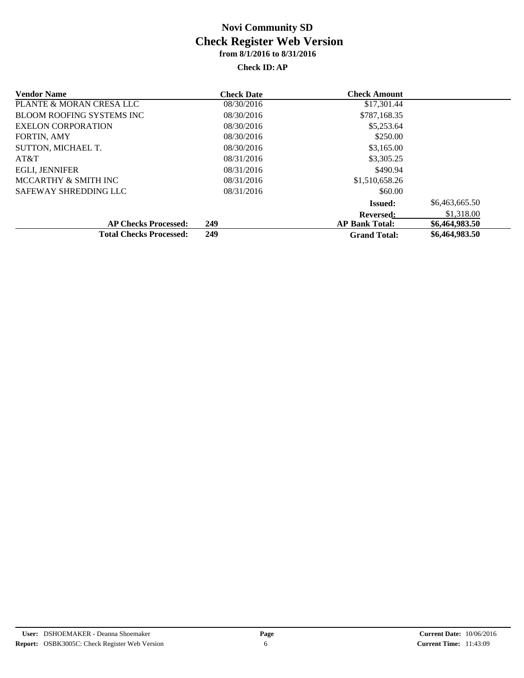| <b>Vendor Name</b>               | <b>Check Date</b> | <b>Check Amount</b>   |                |
|----------------------------------|-------------------|-----------------------|----------------|
| PLANTE & MORAN CRESA LLC         | 08/30/2016        | \$17,301.44           |                |
| <b>BLOOM ROOFING SYSTEMS INC</b> | 08/30/2016        | \$787,168.35          |                |
| <b>EXELON CORPORATION</b>        | 08/30/2016        | \$5,253.64            |                |
| <b>FORTIN, AMY</b>               | 08/30/2016        | \$250.00              |                |
| SUTTON, MICHAEL T.               | 08/30/2016        | \$3,165.00            |                |
| AT&T                             | 08/31/2016        | \$3,305.25            |                |
| <b>EGLI, JENNIFER</b>            | 08/31/2016        | \$490.94              |                |
| MCCARTHY & SMITH INC             | 08/31/2016        | \$1,510,658.26        |                |
| SAFEWAY SHREDDING LLC            | 08/31/2016        | \$60.00               |                |
|                                  |                   | <b>Issued:</b>        | \$6,463,665.50 |
|                                  |                   | <b>Reversed:</b>      | \$1,318.00     |
| <b>AP Checks Processed:</b>      | 249               | <b>AP Bank Total:</b> | \$6,464,983.50 |
| <b>Total Checks Processed:</b>   | 249               | <b>Grand Total:</b>   | \$6,464,983.50 |